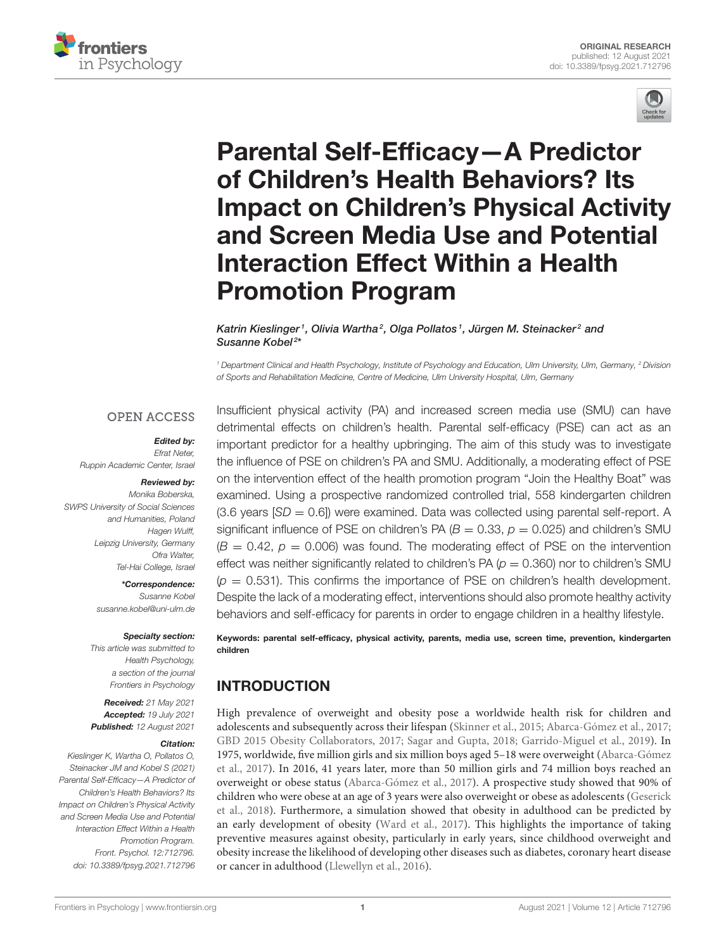



# Parental Self-Efficacy—A Predictor of Children's Health Behaviors? Its [Impact on Children's Physical Activity](https://www.frontiersin.org/articles/10.3389/fpsyg.2021.712796/full) and Screen Media Use and Potential Interaction Effect Within a Health Promotion Program

Katrin Kieslinger1, Olivia Wartha<sup>2</sup>, Olga Pollatos1, Jürgen M. Steinacker<sup>2</sup> and Susanne Kobel<sup>2\*</sup>

*<sup>1</sup> Department Clinical and Health Psychology, Institute of Psychology and Education, Ulm University, Ulm, Germany, <sup>2</sup> Division of Sports and Rehabilitation Medicine, Centre of Medicine, Ulm University Hospital, Ulm, Germany*

#### **OPEN ACCESS**

#### Edited by:

*Efrat Neter, Ruppin Academic Center, Israel*

#### Reviewed by:

*Monika Boberska, SWPS University of Social Sciences and Humanities, Poland Hagen Wulff, Leipzig University, Germany Ofra Walter, Tel-Hai College, Israel*

#### \*Correspondence:

*Susanne Kobel [susanne.kobel@uni-ulm.de](mailto:susanne.kobel@uni-ulm.de)*

#### Specialty section:

*This article was submitted to Health Psychology, a section of the journal Frontiers in Psychology*

Received: *21 May 2021* Accepted: *19 July 2021* Published: *12 August 2021*

#### Citation:

*Kieslinger K, Wartha O, Pollatos O, Steinacker JM and Kobel S (2021) Parental Self-Efficacy—A Predictor of Children's Health Behaviors? Its Impact on Children's Physical Activity and Screen Media Use and Potential Interaction Effect Within a Health Promotion Program. Front. Psychol. 12:712796. doi: [10.3389/fpsyg.2021.712796](https://doi.org/10.3389/fpsyg.2021.712796)*

Insufficient physical activity (PA) and increased screen media use (SMU) can have detrimental effects on children's health. Parental self-efficacy (PSE) can act as an important predictor for a healthy upbringing. The aim of this study was to investigate the influence of PSE on children's PA and SMU. Additionally, a moderating effect of PSE on the intervention effect of the health promotion program "Join the Healthy Boat" was examined. Using a prospective randomized controlled trial, 558 kindergarten children  $(3.6 \text{ years} | SD = 0.6]$ ) were examined. Data was collected using parental self-report. A significant influence of PSE on children's PA ( $B = 0.33$ ,  $p = 0.025$ ) and children's SMU  $(B = 0.42, p = 0.006)$  was found. The moderating effect of PSE on the intervention effect was neither significantly related to children's PA ( $p = 0.360$ ) nor to children's SMU  $(p = 0.531)$ . This confirms the importance of PSE on children's health development. Despite the lack of a moderating effect, interventions should also promote healthy activity behaviors and self-efficacy for parents in order to engage children in a healthy lifestyle.

Keywords: parental self-efficacy, physical activity, parents, media use, screen time, prevention, kindergarten children

#### INTRODUCTION

High prevalence of overweight and obesity pose a worldwide health risk for children and adolescents and subsequently across their lifespan [\(Skinner et al., 2015;](#page-10-0) [Abarca-Gómez et al., 2017;](#page-9-0) [GBD 2015 Obesity Collaborators, 2017;](#page-9-1) [Sagar and Gupta, 2018;](#page-10-1) [Garrido-Miguel et al., 2019\)](#page-9-2). In 1975, worldwide, five million girls and six million boys aged 5–18 were overweight (Abarca-Gómez et al., [2017\)](#page-9-0). In 2016, 41 years later, more than 50 million girls and 74 million boys reached an overweight or obese status [\(Abarca-Gómez et al., 2017\)](#page-9-0). A prospective study showed that 90% of children who were obese at an age of 3 years were also overweight or obese as adolescents (Geserick et al., [2018\)](#page-9-3). Furthermore, a simulation showed that obesity in adulthood can be predicted by an early development of obesity [\(Ward et al., 2017\)](#page-11-0). This highlights the importance of taking preventive measures against obesity, particularly in early years, since childhood overweight and obesity increase the likelihood of developing other diseases such as diabetes, coronary heart disease or cancer in adulthood [\(Llewellyn et al., 2016\)](#page-10-2).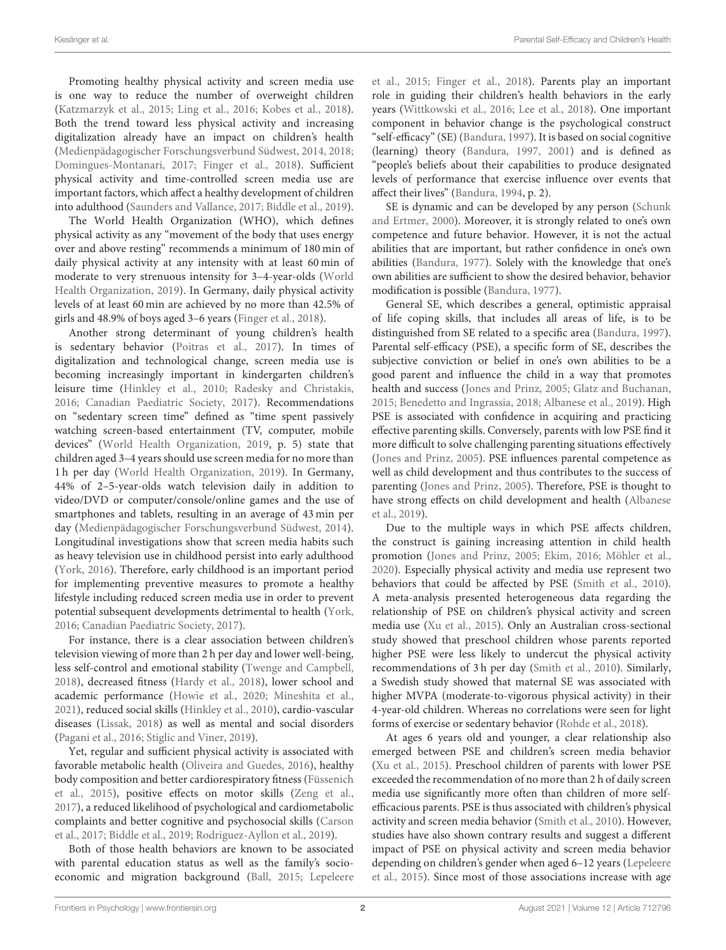Promoting healthy physical activity and screen media use is one way to reduce the number of overweight children [\(Katzmarzyk et al., 2015;](#page-9-4) [Ling et al., 2016;](#page-10-3) [Kobes et al., 2018\)](#page-10-4). Both the trend toward less physical activity and increasing digitalization already have an impact on children's health [\(Medienpädagogischer Forschungsverbund Südwest, 2014,](#page-10-5) [2018;](#page-10-6) [Domingues-Montanari, 2017;](#page-9-5) [Finger et al., 2018\)](#page-9-6). Sufficient physical activity and time-controlled screen media use are important factors, which affect a healthy development of children into adulthood [\(Saunders and Vallance, 2017;](#page-10-7) [Biddle et al., 2019\)](#page-9-7).

The World Health Organization (WHO), which defines physical activity as any "movement of the body that uses energy over and above resting" recommends a minimum of 180 min of daily physical activity at any intensity with at least 60 min of moderate to very strenuous intensity for 3–4-year-olds (World Health Organization, [2019\)](#page-11-1). In Germany, daily physical activity levels of at least 60 min are achieved by no more than 42.5% of girls and 48.9% of boys aged 3–6 years [\(Finger et al., 2018\)](#page-9-6).

Another strong determinant of young children's health is sedentary behavior [\(Poitras et al., 2017\)](#page-10-8). In times of digitalization and technological change, screen media use is becoming increasingly important in kindergarten children's leisure time [\(Hinkley et al., 2010;](#page-9-8) [Radesky and Christakis,](#page-10-9) [2016;](#page-10-9) [Canadian Paediatric Society, 2017\)](#page-9-9). Recommendations on "sedentary screen time" defined as "time spent passively watching screen-based entertainment (TV, computer, mobile devices" [\(World Health Organization, 2019,](#page-11-1) p. 5) state that children aged 3–4 years should use screen media for no more than 1 h per day [\(World Health Organization, 2019\)](#page-11-1). In Germany, 44% of 2–5-year-olds watch television daily in addition to video/DVD or computer/console/online games and the use of smartphones and tablets, resulting in an average of 43 min per day [\(Medienpädagogischer Forschungsverbund Südwest, 2014\)](#page-10-5). Longitudinal investigations show that screen media habits such as heavy television use in childhood persist into early adulthood [\(York, 2016\)](#page-11-2). Therefore, early childhood is an important period for implementing preventive measures to promote a healthy lifestyle including reduced screen media use in order to prevent potential subsequent developments detrimental to health [\(York,](#page-11-2) [2016;](#page-11-2) [Canadian Paediatric Society, 2017\)](#page-9-9).

For instance, there is a clear association between children's television viewing of more than 2 h per day and lower well-being, less self-control and emotional stability [\(Twenge and Campbell,](#page-10-10) [2018\)](#page-10-10), decreased fitness [\(Hardy et al., 2018\)](#page-9-10), lower school and academic performance [\(Howie et al., 2020;](#page-9-11) [Mineshita et al.,](#page-10-11) [2021\)](#page-10-11), reduced social skills [\(Hinkley et al., 2010\)](#page-9-8), cardio-vascular diseases [\(Lissak, 2018\)](#page-10-12) as well as mental and social disorders [\(Pagani et al., 2016;](#page-10-13) [Stiglic and Viner, 2019\)](#page-10-14).

Yet, regular and sufficient physical activity is associated with favorable metabolic health [\(Oliveira and Guedes, 2016\)](#page-10-15), healthy body composition and better cardiorespiratory fitness (Füssenich et al., [2015\)](#page-9-12), positive effects on motor skills [\(Zeng et al.,](#page-11-3) [2017\)](#page-11-3), a reduced likelihood of psychological and cardiometabolic complaints and better cognitive and psychosocial skills (Carson et al., [2017;](#page-9-13) [Biddle et al., 2019;](#page-9-7) [Rodriguez-Ayllon et al., 2019\)](#page-10-16).

Both of those health behaviors are known to be associated with parental education status as well as the family's socioeconomic and migration background [\(Ball, 2015;](#page-9-14) Lepeleere et al., [2015;](#page-10-17) [Finger et al., 2018\)](#page-9-6). Parents play an important role in guiding their children's health behaviors in the early years [\(Wittkowski et al., 2016;](#page-11-4) [Lee et al., 2018\)](#page-10-18). One important component in behavior change is the psychological construct "self-efficacy" (SE) [\(Bandura, 1997\)](#page-9-15). It is based on social cognitive (learning) theory [\(Bandura, 1997,](#page-9-15) [2001\)](#page-9-16) and is defined as "people's beliefs about their capabilities to produce designated levels of performance that exercise influence over events that affect their lives" [\(Bandura, 1994,](#page-9-17) p. 2).

SE is dynamic and can be developed by any person (Schunk and Ertmer, [2000\)](#page-10-19). Moreover, it is strongly related to one's own competence and future behavior. However, it is not the actual abilities that are important, but rather confidence in one's own abilities [\(Bandura, 1977\)](#page-9-18). Solely with the knowledge that one's own abilities are sufficient to show the desired behavior, behavior modification is possible [\(Bandura, 1977\)](#page-9-18).

General SE, which describes a general, optimistic appraisal of life coping skills, that includes all areas of life, is to be distinguished from SE related to a specific area [\(Bandura, 1997\)](#page-9-15). Parental self-efficacy (PSE), a specific form of SE, describes the subjective conviction or belief in one's own abilities to be a good parent and influence the child in a way that promotes health and success [\(Jones and Prinz, 2005;](#page-9-19) [Glatz and Buchanan,](#page-9-20) [2015;](#page-9-20) [Benedetto and Ingrassia, 2018;](#page-9-21) [Albanese et al., 2019\)](#page-9-22). High PSE is associated with confidence in acquiring and practicing effective parenting skills. Conversely, parents with low PSE find it more difficult to solve challenging parenting situations effectively [\(Jones and Prinz, 2005\)](#page-9-19). PSE influences parental competence as well as child development and thus contributes to the success of parenting [\(Jones and Prinz, 2005\)](#page-9-19). Therefore, PSE is thought to have strong effects on child development and health (Albanese et al., [2019\)](#page-9-22).

Due to the multiple ways in which PSE affects children, the construct is gaining increasing attention in child health promotion [\(Jones and Prinz, 2005;](#page-9-19) [Ekim, 2016;](#page-9-23) [Möhler et al.,](#page-10-20) [2020\)](#page-10-20). Especially physical activity and media use represent two behaviors that could be affected by PSE [\(Smith et al., 2010\)](#page-10-21). A meta-analysis presented heterogeneous data regarding the relationship of PSE on children's physical activity and screen media use [\(Xu et al., 2015\)](#page-11-5). Only an Australian cross-sectional study showed that preschool children whose parents reported higher PSE were less likely to undercut the physical activity recommendations of 3 h per day [\(Smith et al., 2010\)](#page-10-21). Similarly, a Swedish study showed that maternal SE was associated with higher MVPA (moderate-to-vigorous physical activity) in their 4-year-old children. Whereas no correlations were seen for light forms of exercise or sedentary behavior [\(Rohde et al., 2018\)](#page-10-22).

At ages 6 years old and younger, a clear relationship also emerged between PSE and children's screen media behavior [\(Xu et al., 2015\)](#page-11-5). Preschool children of parents with lower PSE exceeded the recommendation of no more than 2 h of daily screen media use significantly more often than children of more selfefficacious parents. PSE is thus associated with children's physical activity and screen media behavior [\(Smith et al., 2010\)](#page-10-21). However, studies have also shown contrary results and suggest a different impact of PSE on physical activity and screen media behavior depending on children's gender when aged 6–12 years (Lepeleere et al., [2015\)](#page-10-17). Since most of those associations increase with age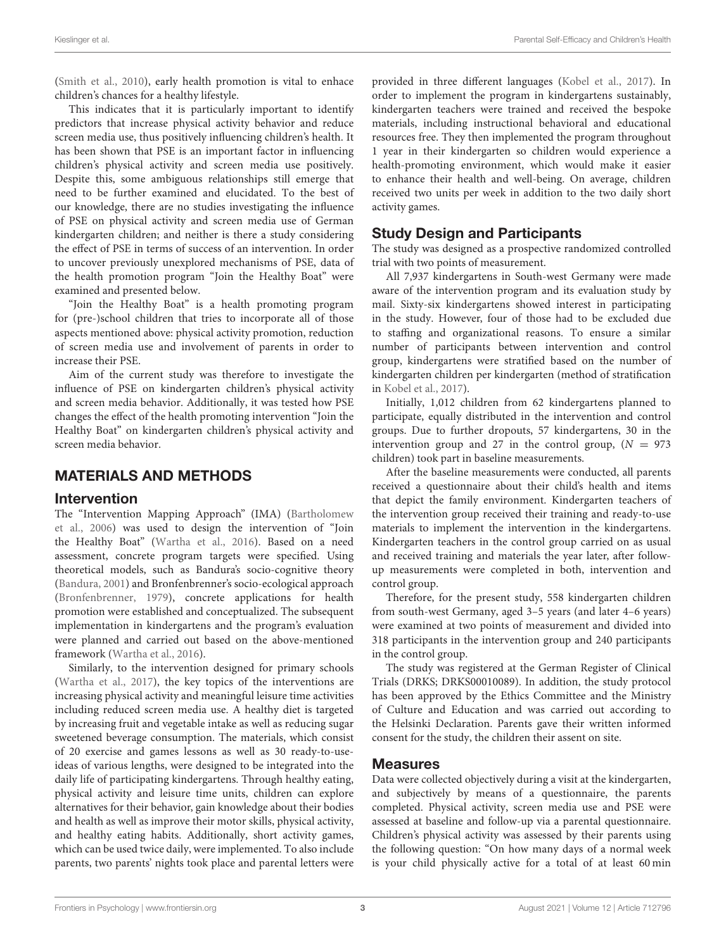[\(Smith et al., 2010\)](#page-10-21), early health promotion is vital to enhace children's chances for a healthy lifestyle.

This indicates that it is particularly important to identify predictors that increase physical activity behavior and reduce screen media use, thus positively influencing children's health. It has been shown that PSE is an important factor in influencing children's physical activity and screen media use positively. Despite this, some ambiguous relationships still emerge that need to be further examined and elucidated. To the best of our knowledge, there are no studies investigating the influence of PSE on physical activity and screen media use of German kindergarten children; and neither is there a study considering the effect of PSE in terms of success of an intervention. In order to uncover previously unexplored mechanisms of PSE, data of the health promotion program "Join the Healthy Boat" were examined and presented below.

"Join the Healthy Boat" is a health promoting program for (pre-)school children that tries to incorporate all of those aspects mentioned above: physical activity promotion, reduction of screen media use and involvement of parents in order to increase their PSE.

Aim of the current study was therefore to investigate the influence of PSE on kindergarten children's physical activity and screen media behavior. Additionally, it was tested how PSE changes the effect of the health promoting intervention "Join the Healthy Boat" on kindergarten children's physical activity and screen media behavior.

#### MATERIALS AND METHODS

#### Intervention

The "Intervention Mapping Approach" (IMA) (Bartholomew et al., [2006\)](#page-9-24) was used to design the intervention of "Join the Healthy Boat" [\(Wartha et al., 2016\)](#page-11-6). Based on a need assessment, concrete program targets were specified. Using theoretical models, such as Bandura's socio-cognitive theory [\(Bandura, 2001\)](#page-9-16) and Bronfenbrenner's socio-ecological approach [\(Bronfenbrenner, 1979\)](#page-9-25), concrete applications for health promotion were established and conceptualized. The subsequent implementation in kindergartens and the program's evaluation were planned and carried out based on the above-mentioned framework [\(Wartha et al., 2016\)](#page-11-6).

Similarly, to the intervention designed for primary schools [\(Wartha et al., 2017\)](#page-11-7), the key topics of the interventions are increasing physical activity and meaningful leisure time activities including reduced screen media use. A healthy diet is targeted by increasing fruit and vegetable intake as well as reducing sugar sweetened beverage consumption. The materials, which consist of 20 exercise and games lessons as well as 30 ready-to-useideas of various lengths, were designed to be integrated into the daily life of participating kindergartens. Through healthy eating, physical activity and leisure time units, children can explore alternatives for their behavior, gain knowledge about their bodies and health as well as improve their motor skills, physical activity, and healthy eating habits. Additionally, short activity games, which can be used twice daily, were implemented. To also include parents, two parents' nights took place and parental letters were provided in three different languages [\(Kobel et al., 2017\)](#page-10-23). In order to implement the program in kindergartens sustainably, kindergarten teachers were trained and received the bespoke materials, including instructional behavioral and educational resources free. They then implemented the program throughout 1 year in their kindergarten so children would experience a health-promoting environment, which would make it easier to enhance their health and well-being. On average, children received two units per week in addition to the two daily short activity games.

#### Study Design and Participants

The study was designed as a prospective randomized controlled trial with two points of measurement.

All 7,937 kindergartens in South-west Germany were made aware of the intervention program and its evaluation study by mail. Sixty-six kindergartens showed interest in participating in the study. However, four of those had to be excluded due to staffing and organizational reasons. To ensure a similar number of participants between intervention and control group, kindergartens were stratified based on the number of kindergarten children per kindergarten (method of stratification in [Kobel et al., 2017\)](#page-10-23).

Initially, 1,012 children from 62 kindergartens planned to participate, equally distributed in the intervention and control groups. Due to further dropouts, 57 kindergartens, 30 in the intervention group and 27 in the control group,  $(N = 973)$ children) took part in baseline measurements.

After the baseline measurements were conducted, all parents received a questionnaire about their child's health and items that depict the family environment. Kindergarten teachers of the intervention group received their training and ready-to-use materials to implement the intervention in the kindergartens. Kindergarten teachers in the control group carried on as usual and received training and materials the year later, after followup measurements were completed in both, intervention and control group.

Therefore, for the present study, 558 kindergarten children from south-west Germany, aged 3–5 years (and later 4–6 years) were examined at two points of measurement and divided into 318 participants in the intervention group and 240 participants in the control group.

The study was registered at the German Register of Clinical Trials (DRKS; DRKS00010089). In addition, the study protocol has been approved by the Ethics Committee and the Ministry of Culture and Education and was carried out according to the Helsinki Declaration. Parents gave their written informed consent for the study, the children their assent on site.

#### Measures

Data were collected objectively during a visit at the kindergarten, and subjectively by means of a questionnaire, the parents completed. Physical activity, screen media use and PSE were assessed at baseline and follow-up via a parental questionnaire. Children's physical activity was assessed by their parents using the following question: "On how many days of a normal week is your child physically active for a total of at least 60 min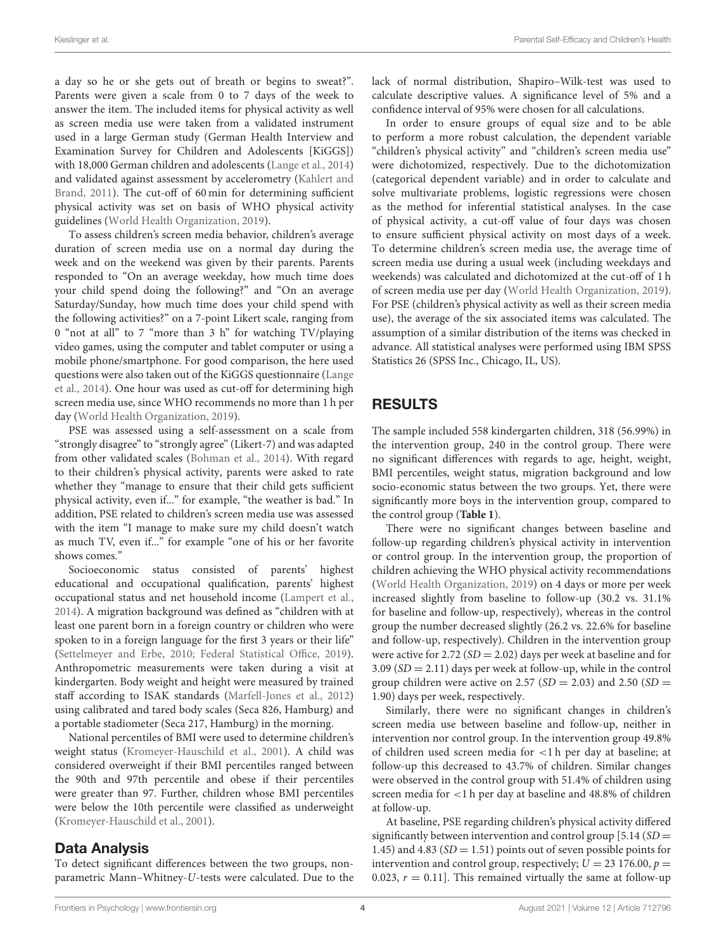a day so he or she gets out of breath or begins to sweat?". Parents were given a scale from 0 to 7 days of the week to answer the item. The included items for physical activity as well as screen media use were taken from a validated instrument used in a large German study (German Health Interview and Examination Survey for Children and Adolescents [KiGGS]) with 18,000 German children and adolescents [\(Lange et al., 2014\)](#page-10-24) and validated against assessment by accelerometry (Kahlert and Brand, [2011\)](#page-9-26). The cut-off of 60 min for determining sufficient physical activity was set on basis of WHO physical activity guidelines [\(World Health Organization, 2019\)](#page-11-1).

To assess children's screen media behavior, children's average duration of screen media use on a normal day during the week and on the weekend was given by their parents. Parents responded to "On an average weekday, how much time does your child spend doing the following?" and "On an average Saturday/Sunday, how much time does your child spend with the following activities?" on a 7-point Likert scale, ranging from 0 "not at all" to 7 "more than 3 h" for watching TV/playing video games, using the computer and tablet computer or using a mobile phone/smartphone. For good comparison, the here used questions were also taken out of the KiGGS questionnaire (Lange et al., [2014\)](#page-10-24). One hour was used as cut-off for determining high screen media use, since WHO recommends no more than 1 h per day [\(World Health Organization, 2019\)](#page-11-1).

PSE was assessed using a self-assessment on a scale from "strongly disagree" to "strongly agree" (Likert-7) and was adapted from other validated scales [\(Bohman et al., 2014\)](#page-9-27). With regard to their children's physical activity, parents were asked to rate whether they "manage to ensure that their child gets sufficient physical activity, even if..." for example, "the weather is bad." In addition, PSE related to children's screen media use was assessed with the item "I manage to make sure my child doesn't watch as much TV, even if..." for example "one of his or her favorite shows comes."

Socioeconomic status consisted of parents' highest educational and occupational qualification, parents' highest occupational status and net household income [\(Lampert et al.,](#page-10-25) [2014\)](#page-10-25). A migration background was defined as "children with at least one parent born in a foreign country or children who were spoken to in a foreign language for the first 3 years or their life" [\(Settelmeyer and Erbe, 2010;](#page-10-26) [Federal Statistical Office, 2019\)](#page-9-28). Anthropometric measurements were taken during a visit at kindergarten. Body weight and height were measured by trained staff according to ISAK standards [\(Marfell-Jones et al., 2012\)](#page-10-27) using calibrated and tared body scales (Seca 826, Hamburg) and a portable stadiometer (Seca 217, Hamburg) in the morning.

National percentiles of BMI were used to determine children's weight status [\(Kromeyer-Hauschild et al., 2001\)](#page-10-28). A child was considered overweight if their BMI percentiles ranged between the 90th and 97th percentile and obese if their percentiles were greater than 97. Further, children whose BMI percentiles were below the 10th percentile were classified as underweight [\(Kromeyer-Hauschild et al., 2001\)](#page-10-28).

#### Data Analysis

To detect significant differences between the two groups, nonparametric Mann–Whitney-U-tests were calculated. Due to the lack of normal distribution, Shapiro–Wilk-test was used to calculate descriptive values. A significance level of 5% and a confidence interval of 95% were chosen for all calculations.

In order to ensure groups of equal size and to be able to perform a more robust calculation, the dependent variable "children's physical activity" and "children's screen media use" were dichotomized, respectively. Due to the dichotomization (categorical dependent variable) and in order to calculate and solve multivariate problems, logistic regressions were chosen as the method for inferential statistical analyses. In the case of physical activity, a cut-off value of four days was chosen to ensure sufficient physical activity on most days of a week. To determine children's screen media use, the average time of screen media use during a usual week (including weekdays and weekends) was calculated and dichotomized at the cut-off of 1 h of screen media use per day [\(World Health Organization, 2019\)](#page-11-1). For PSE (children's physical activity as well as their screen media use), the average of the six associated items was calculated. The assumption of a similar distribution of the items was checked in advance. All statistical analyses were performed using IBM SPSS Statistics 26 (SPSS Inc., Chicago, IL, US).

# RESULTS

The sample included 558 kindergarten children, 318 (56.99%) in the intervention group, 240 in the control group. There were no significant differences with regards to age, height, weight, BMI percentiles, weight status, migration background and low socio-economic status between the two groups. Yet, there were significantly more boys in the intervention group, compared to the control group (**[Table 1](#page-4-0)**).

There were no significant changes between baseline and follow-up regarding children's physical activity in intervention or control group. In the intervention group, the proportion of children achieving the WHO physical activity recommendations [\(World Health Organization, 2019\)](#page-11-1) on 4 days or more per week increased slightly from baseline to follow-up (30.2 vs. 31.1% for baseline and follow-up, respectively), whereas in the control group the number decreased slightly (26.2 vs. 22.6% for baseline and follow-up, respectively). Children in the intervention group were active for 2.72 ( $SD = 2.02$ ) days per week at baseline and for  $3.09 (SD = 2.11)$  days per week at follow-up, while in the control group children were active on 2.57 ( $SD = 2.03$ ) and 2.50 ( $SD =$ 1.90) days per week, respectively.

Similarly, there were no significant changes in children's screen media use between baseline and follow-up, neither in intervention nor control group. In the intervention group 49.8% of children used screen media for <1 h per day at baseline; at follow-up this decreased to 43.7% of children. Similar changes were observed in the control group with 51.4% of children using screen media for <1 h per day at baseline and 48.8% of children at follow-up.

At baseline, PSE regarding children's physical activity differed significantly between intervention and control group  $[5.14(SD =$ 1.45) and 4.83 ( $SD = 1.51$ ) points out of seven possible points for intervention and control group, respectively;  $U = 23$  176.00,  $p =$ 0.023,  $r = 0.11$ ]. This remained virtually the same at follow-up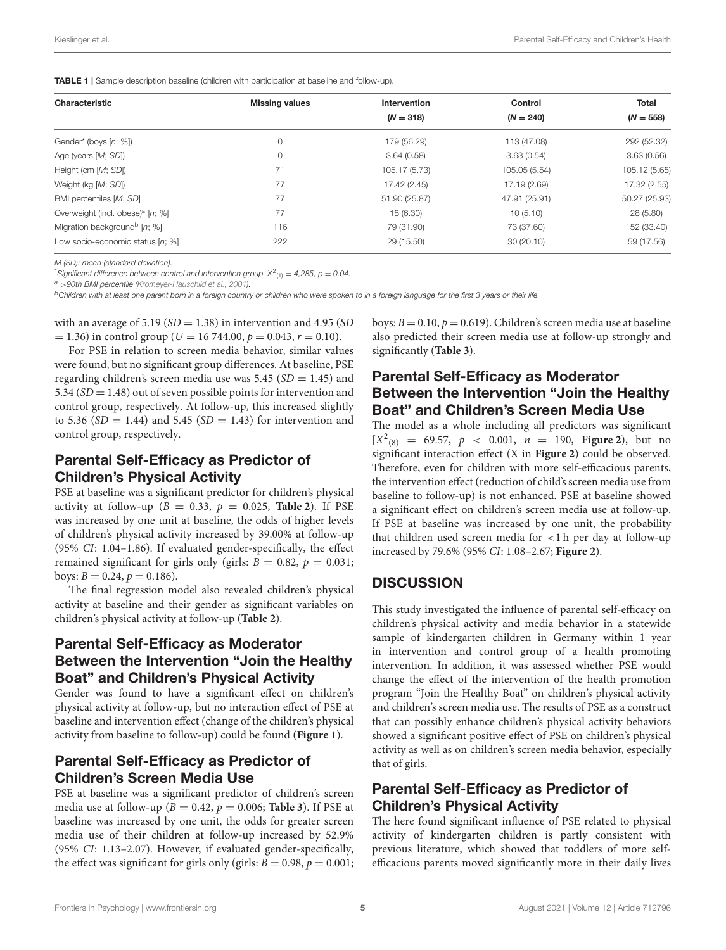<span id="page-4-0"></span>TABLE 1 | Sample description baseline (children with participation at baseline and follow-up).

| Characteristic                               | <b>Missing values</b> | Intervention  | Control       | <b>Total</b>  |  |
|----------------------------------------------|-----------------------|---------------|---------------|---------------|--|
|                                              |                       | $(N = 318)$   | $(N = 240)$   | $(N = 558)$   |  |
| Gender* (boys [n; %])                        | 0                     | 179 (56.29)   | 113 (47.08)   | 292 (52.32)   |  |
| Age (years $[M; SD]$ )                       | 0                     | 3.64(0.58)    | 3.63(0.54)    | 3.63(0.56)    |  |
| Height (cm [M; SD])                          | 71                    | 105.17 (5.73) | 105.05 (5.54) | 105.12 (5.65) |  |
| Weight (kg [M; SD])                          | 77                    | 17.42 (2.45)  | 17.19 (2.69)  | 17.32 (2.55)  |  |
| BMI percentiles [M; SD]                      | 77                    | 51.90 (25.87) | 47.91 (25.91) | 50.27 (25.93) |  |
| Overweight (incl. obese) <sup>a</sup> [n; %] | 77                    | 18 (6.30)     | 10(5.10)      | 28(5.80)      |  |
| Migration background <sup>b</sup> [n; %]     | 116                   | 79 (31.90)    | 73 (37.60)    | 152 (33.40)   |  |
| Low socio-economic status [n; %]             | 222                   | 29 (15.50)    | 30(20.10)     | 59 (17.56)    |  |
|                                              |                       |               |               |               |  |

*M (SD): mean (standard deviation).*

 $^*$ Significant difference between control and intervention group,  $X^2_{(1)} = 4,285$ ,  $p = 0.04$ .

*<sup>a</sup>* >*90th BMI percentile [\(Kromeyer-Hauschild et al., 2001\)](#page-10-28).*

*<sup>b</sup>Children with at least one parent born in a foreign country or children who were spoken to in a foreign language for the first 3 years or their life.*

with an average of  $5.19$  ( $SD = 1.38$ ) in intervention and  $4.95$  (SD)  $= 1.36$ ) in control group (U = 16 744.00,  $p = 0.043$ ,  $r = 0.10$ ).

For PSE in relation to screen media behavior, similar values were found, but no significant group differences. At baseline, PSE regarding children's screen media use was  $5.45$  (SD = 1.45) and 5.34  $(SD = 1.48)$  out of seven possible points for intervention and control group, respectively. At follow-up, this increased slightly to 5.36 ( $SD = 1.44$ ) and 5.45 ( $SD = 1.43$ ) for intervention and control group, respectively.

### Parental Self-Efficacy as Predictor of Children's Physical Activity

PSE at baseline was a significant predictor for children's physical activity at follow-up ( $B = 0.33$ ,  $p = 0.025$ , **[Table 2](#page-5-0)**). If PSE was increased by one unit at baseline, the odds of higher levels of children's physical activity increased by 39.00% at follow-up (95% CI: 1.04–1.86). If evaluated gender-specifically, the effect remained significant for girls only (girls:  $B = 0.82$ ,  $p = 0.031$ ; boys:  $B = 0.24$ ,  $p = 0.186$ ).

The final regression model also revealed children's physical activity at baseline and their gender as significant variables on children's physical activity at follow-up (**[Table 2](#page-5-0)**).

#### Parental Self-Efficacy as Moderator Between the Intervention "Join the Healthy Boat" and Children's Physical Activity

Gender was found to have a significant effect on children's physical activity at follow-up, but no interaction effect of PSE at baseline and intervention effect (change of the children's physical activity from baseline to follow-up) could be found (**[Figure 1](#page-5-1)**).

#### Parental Self-Efficacy as Predictor of Children's Screen Media Use

PSE at baseline was a significant predictor of children's screen media use at follow-up ( $B = 0.42$ ,  $p = 0.006$ ; **[Table 3](#page-6-0)**). If PSE at baseline was increased by one unit, the odds for greater screen media use of their children at follow-up increased by 52.9% (95% CI: 1.13–2.07). However, if evaluated gender-specifically, the effect was significant for girls only (girls:  $B = 0.98$ ,  $p = 0.001$ ; boys:  $B = 0.10$ ,  $p = 0.619$ ). Children's screen media use at baseline also predicted their screen media use at follow-up strongly and significantly (**[Table 3](#page-6-0)**).

### Parental Self-Efficacy as Moderator Between the Intervention "Join the Healthy Boat" and Children's Screen Media Use

The model as a whole including all predictors was significant  $[X^2_{(8)} = 69.57, p < 0.001, n = 190,$  **[Figure 2](#page-6-1)**), but no significant interaction effect (X in **[Figure 2](#page-6-1)**) could be observed. Therefore, even for children with more self-efficacious parents, the intervention effect (reduction of child's screen media use from baseline to follow-up) is not enhanced. PSE at baseline showed a significant effect on children's screen media use at follow-up. If PSE at baseline was increased by one unit, the probability that children used screen media for <1 h per day at follow-up increased by 79.6% (95% CI: 1.08–2.67; **[Figure 2](#page-6-1)**).

#### **DISCUSSION**

This study investigated the influence of parental self-efficacy on children's physical activity and media behavior in a statewide sample of kindergarten children in Germany within 1 year in intervention and control group of a health promoting intervention. In addition, it was assessed whether PSE would change the effect of the intervention of the health promotion program "Join the Healthy Boat" on children's physical activity and children's screen media use. The results of PSE as a construct that can possibly enhance children's physical activity behaviors showed a significant positive effect of PSE on children's physical activity as well as on children's screen media behavior, especially that of girls.

#### Parental Self-Efficacy as Predictor of Children's Physical Activity

The here found significant influence of PSE related to physical activity of kindergarten children is partly consistent with previous literature, which showed that toddlers of more selfefficacious parents moved significantly more in their daily lives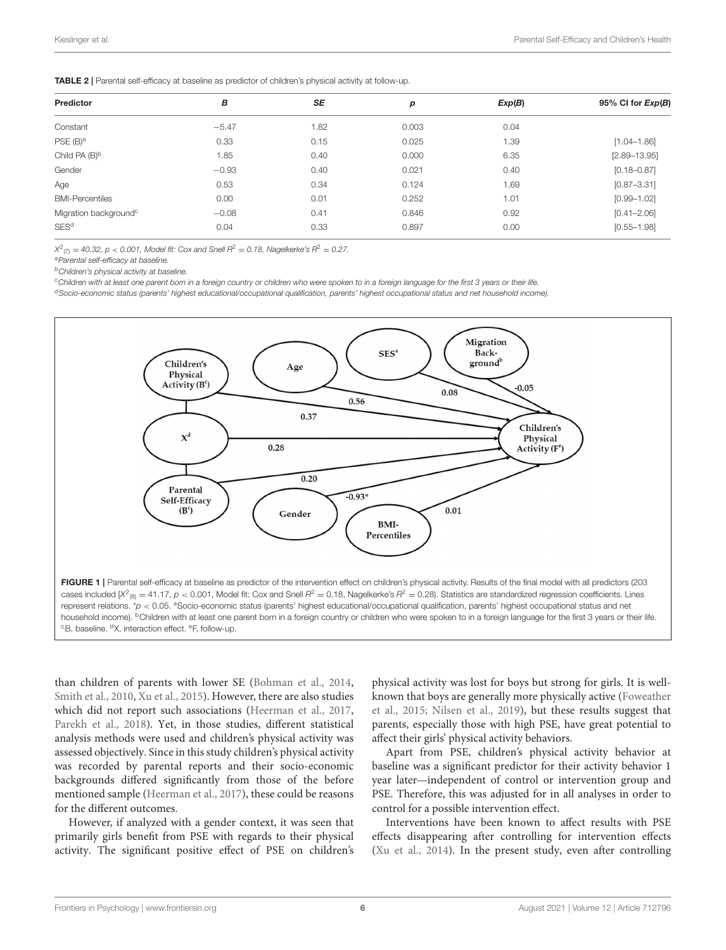<span id="page-5-0"></span>

|  | TABLE 2   Parental self-efficacy at baseline as predictor of children's physical activity at follow-up. |  |
|--|---------------------------------------------------------------------------------------------------------|--|
|--|---------------------------------------------------------------------------------------------------------|--|

| Predictor                         | В       | SE   | p     | Exp(B) | 95% CI for $Exp(B)$ |
|-----------------------------------|---------|------|-------|--------|---------------------|
| Constant                          | $-5.47$ | 1.82 | 0.003 | 0.04   |                     |
| PSE(B) <sup>a</sup>               | 0.33    | 0.15 | 0.025 | 1.39   | $[1.04 - 1.86]$     |
| Child PA $(B)^b$                  | 1.85    | 0.40 | 0.000 | 6.35   | $[2.89 - 13.95]$    |
| Gender                            | $-0.93$ | 0.40 | 0.021 | 0.40   | $[0.18 - 0.87]$     |
| Age                               | 0.53    | 0.34 | 0.124 | 1.69   | $[0.87 - 3.31]$     |
| <b>BMI-Percentiles</b>            | 0.00    | 0.01 | 0.252 | 1.01   | $[0.99 - 1.02]$     |
| Migration background <sup>c</sup> | $-0.08$ | 0.41 | 0.846 | 0.92   | $[0.41 - 2.06]$     |
| SES <sup>d</sup>                  | 0.04    | 0.33 | 0.897 | 0.00   | $[0.55 - 1.98]$     |

*X* 2 (7) = *40.32, p* < *0.001, Model fit: Cox and Snell R*<sup>2</sup> = *0.18, Nagelkerke's R*<sup>2</sup> = *0.27.*

*<sup>a</sup>Parental self-efficacy at baseline.*

*<sup>b</sup>Children's physical activity at baseline.*

*<sup>c</sup>Children with at least one parent born in a foreign country or children who were spoken to in a foreign language for the first 3 years or their life.*

*<sup>d</sup>Socio-economic status (parents' highest educational/occupational qualification, parents' highest occupational status and net household income).*



<span id="page-5-1"></span>than children of parents with lower SE [\(Bohman et al., 2014,](#page-9-27) [Smith et al., 2010,](#page-10-21) [Xu et al., 2015\)](#page-11-5). However, there are also studies which did not report such associations [\(Heerman et al., 2017,](#page-9-29) [Parekh et al., 2018\)](#page-10-29). Yet, in those studies, different statistical analysis methods were used and children's physical activity was assessed objectively. Since in this study children's physical activity was recorded by parental reports and their socio-economic backgrounds differed significantly from those of the before mentioned sample [\(Heerman et al., 2017\)](#page-9-29), these could be reasons for the different outcomes.

However, if analyzed with a gender context, it was seen that primarily girls benefit from PSE with regards to their physical activity. The significant positive effect of PSE on children's physical activity was lost for boys but strong for girls. It is wellknown that boys are generally more physically active (Foweather et al., [2015;](#page-9-30) [Nilsen et al., 2019\)](#page-10-30), but these results suggest that parents, especially those with high PSE, have great potential to affect their girls' physical activity behaviors.

Apart from PSE, children's physical activity behavior at baseline was a significant predictor for their activity behavior 1 year later—independent of control or intervention group and PSE. Therefore, this was adjusted for in all analyses in order to control for a possible intervention effect.

Interventions have been known to affect results with PSE effects disappearing after controlling for intervention effects [\(Xu et al., 2014\)](#page-11-8). In the present study, even after controlling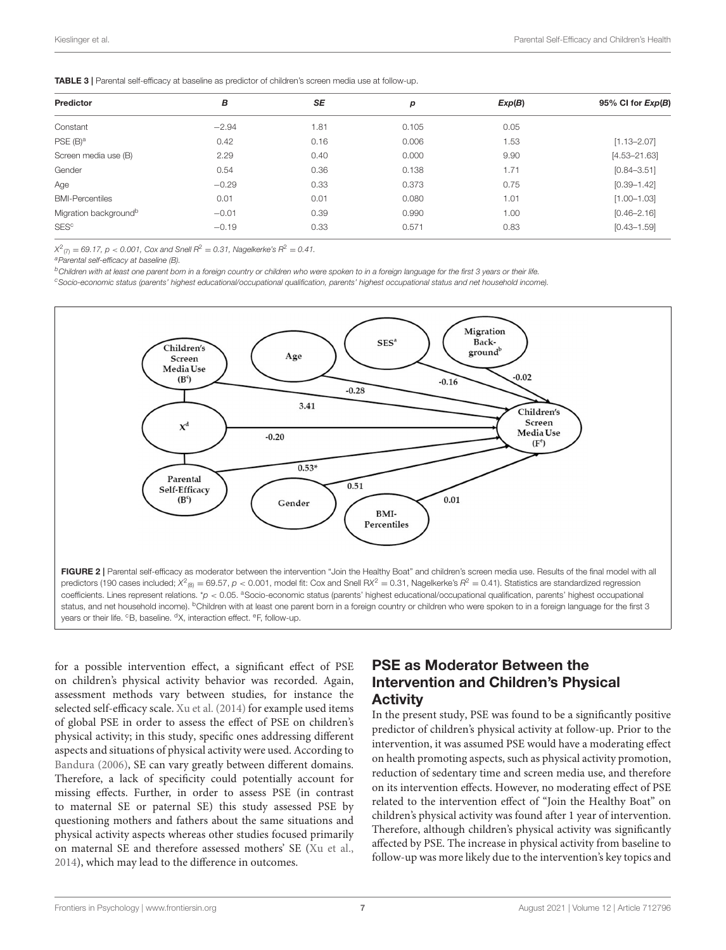<span id="page-6-0"></span>

| Predictor                         | в       | SE   | р     | Exp(B) | 95% CI for $Exp(B)$ |
|-----------------------------------|---------|------|-------|--------|---------------------|
| Constant                          | $-2.94$ | 1.81 | 0.105 | 0.05   |                     |
| PSE(B) <sup>a</sup>               | 0.42    | 0.16 | 0.006 | 1.53   | $[1.13 - 2.07]$     |
| Screen media use (B)              | 2.29    | 0.40 | 0.000 | 9.90   | $[4.53 - 21.63]$    |
| Gender                            | 0.54    | 0.36 | 0.138 | 1.71   | $[0.84 - 3.51]$     |
| Age                               | $-0.29$ | 0.33 | 0.373 | 0.75   | $[0.39 - 1.42]$     |
| <b>BMI-Percentiles</b>            | 0.01    | 0.01 | 0.080 | 1.01   | $[1.00 - 1.03]$     |
| Migration background <sup>b</sup> | $-0.01$ | 0.39 | 0.990 | 1.00   | $[0.46 - 2.16]$     |
| <b>SES<sup>c</sup></b>            | $-0.19$ | 0.33 | 0.571 | 0.83   | $[0.43 - 1.59]$     |

 $X^2_{(7)} = 69.17$ ,  $p < 0.001$ , Cox and Snell  $R^2 = 0.31$ , Nagelkerke's  $R^2 = 0.41$ .

*<sup>a</sup>Parental self-efficacy at baseline (B).*

*<sup>b</sup>Children with at least one parent born in a foreign country or children who were spoken to in a foreign language for the first 3 years or their life.*

*<sup>c</sup>Socio-economic status (parents' highest educational/occupational qualification, parents' highest occupational status and net household income).*



<span id="page-6-1"></span>for a possible intervention effect, a significant effect of PSE on children's physical activity behavior was recorded. Again, assessment methods vary between studies, for instance the selected self-efficacy scale. [Xu et al. \(2014\)](#page-11-8) for example used items of global PSE in order to assess the effect of PSE on children's physical activity; in this study, specific ones addressing different aspects and situations of physical activity were used. According to [Bandura \(2006\)](#page-9-31), SE can vary greatly between different domains. Therefore, a lack of specificity could potentially account for missing effects. Further, in order to assess PSE (in contrast to maternal SE or paternal SE) this study assessed PSE by questioning mothers and fathers about the same situations and physical activity aspects whereas other studies focused primarily on maternal SE and therefore assessed mothers' SE [\(Xu et al.,](#page-11-8) [2014\)](#page-11-8), which may lead to the difference in outcomes.

### PSE as Moderator Between the Intervention and Children's Physical **Activity**

In the present study, PSE was found to be a significantly positive predictor of children's physical activity at follow-up. Prior to the intervention, it was assumed PSE would have a moderating effect on health promoting aspects, such as physical activity promotion, reduction of sedentary time and screen media use, and therefore on its intervention effects. However, no moderating effect of PSE related to the intervention effect of "Join the Healthy Boat" on children's physical activity was found after 1 year of intervention. Therefore, although children's physical activity was significantly affected by PSE. The increase in physical activity from baseline to follow-up was more likely due to the intervention's key topics and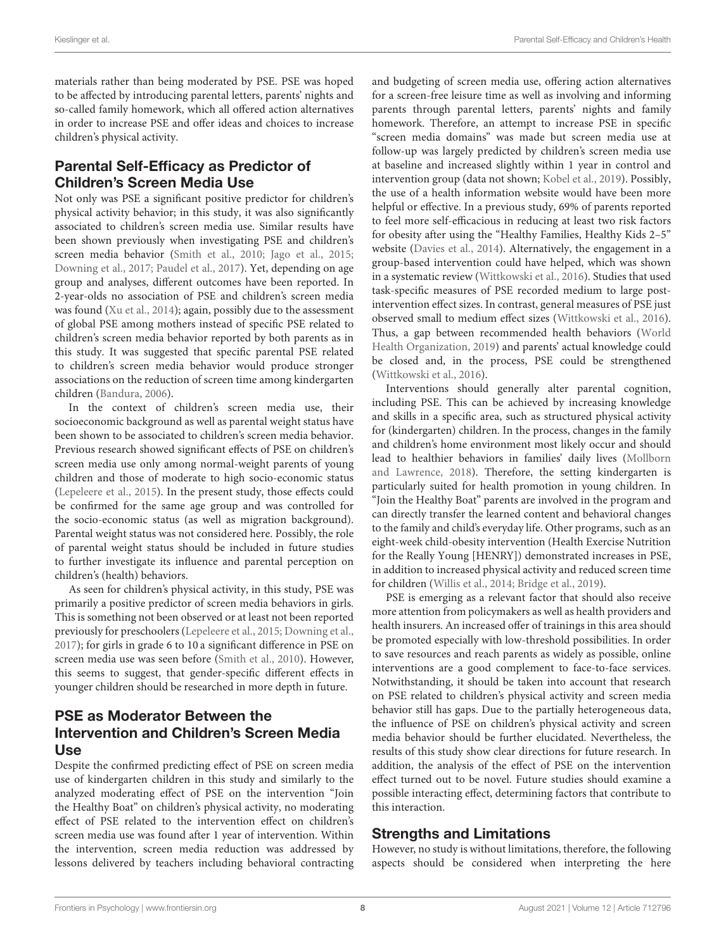materials rather than being moderated by PSE. PSE was hoped to be affected by introducing parental letters, parents' nights and so-called family homework, which all offered action alternatives in order to increase PSE and offer ideas and choices to increase children's physical activity.

# Parental Self-Efficacy as Predictor of Children's Screen Media Use

Not only was PSE a significant positive predictor for children's physical activity behavior; in this study, it was also significantly associated to children's screen media use. Similar results have been shown previously when investigating PSE and children's screen media behavior [\(Smith et al., 2010;](#page-10-21) [Jago et al., 2015;](#page-9-32) [Downing et al., 2017;](#page-9-33) [Paudel et al., 2017\)](#page-10-31). Yet, depending on age group and analyses, different outcomes have been reported. In 2-year-olds no association of PSE and children's screen media was found [\(Xu et al., 2014\)](#page-11-8); again, possibly due to the assessment of global PSE among mothers instead of specific PSE related to children's screen media behavior reported by both parents as in this study. It was suggested that specific parental PSE related to children's screen media behavior would produce stronger associations on the reduction of screen time among kindergarten children [\(Bandura, 2006\)](#page-9-31).

In the context of children's screen media use, their socioeconomic background as well as parental weight status have been shown to be associated to children's screen media behavior. Previous research showed significant effects of PSE on children's screen media use only among normal-weight parents of young children and those of moderate to high socio-economic status [\(Lepeleere et al., 2015\)](#page-10-17). In the present study, those effects could be confirmed for the same age group and was controlled for the socio-economic status (as well as migration background). Parental weight status was not considered here. Possibly, the role of parental weight status should be included in future studies to further investigate its influence and parental perception on children's (health) behaviors.

As seen for children's physical activity, in this study, PSE was primarily a positive predictor of screen media behaviors in girls. This is something not been observed or at least not been reported previously for preschoolers [\(Lepeleere et al., 2015;](#page-10-17) [Downing et al.,](#page-9-33) [2017\)](#page-9-33); for girls in grade 6 to 10 a significant difference in PSE on screen media use was seen before [\(Smith et al., 2010\)](#page-10-21). However, this seems to suggest, that gender-specific different effects in younger children should be researched in more depth in future.

### PSE as Moderator Between the Intervention and Children's Screen Media Use

Despite the confirmed predicting effect of PSE on screen media use of kindergarten children in this study and similarly to the analyzed moderating effect of PSE on the intervention "Join the Healthy Boat" on children's physical activity, no moderating effect of PSE related to the intervention effect on children's screen media use was found after 1 year of intervention. Within the intervention, screen media reduction was addressed by lessons delivered by teachers including behavioral contracting and budgeting of screen media use, offering action alternatives for a screen-free leisure time as well as involving and informing parents through parental letters, parents' nights and family homework. Therefore, an attempt to increase PSE in specific "screen media domains" was made but screen media use at follow-up was largely predicted by children's screen media use at baseline and increased slightly within 1 year in control and intervention group (data not shown; [Kobel et al., 2019\)](#page-9-34). Possibly, the use of a health information website would have been more helpful or effective. In a previous study, 69% of parents reported to feel more self-efficacious in reducing at least two risk factors for obesity after using the "Healthy Families, Healthy Kids 2–5" website [\(Davies et al., 2014\)](#page-9-35). Alternatively, the engagement in a group-based intervention could have helped, which was shown in a systematic review [\(Wittkowski et al., 2016\)](#page-11-4). Studies that used task-specific measures of PSE recorded medium to large postintervention effect sizes. In contrast, general measures of PSE just observed small to medium effect sizes [\(Wittkowski et al., 2016\)](#page-11-4). Thus, a gap between recommended health behaviors (World Health Organization, [2019\)](#page-11-1) and parents' actual knowledge could be closed and, in the process, PSE could be strengthened [\(Wittkowski et al., 2016\)](#page-11-4).

Interventions should generally alter parental cognition, including PSE. This can be achieved by increasing knowledge and skills in a specific area, such as structured physical activity for (kindergarten) children. In the process, changes in the family and children's home environment most likely occur and should lead to healthier behaviors in families' daily lives (Mollborn and Lawrence, [2018\)](#page-10-32). Therefore, the setting kindergarten is particularly suited for health promotion in young children. In "Join the Healthy Boat" parents are involved in the program and can directly transfer the learned content and behavioral changes to the family and child's everyday life. Other programs, such as an eight-week child-obesity intervention (Health Exercise Nutrition for the Really Young [HENRY]) demonstrated increases in PSE, in addition to increased physical activity and reduced screen time for children [\(Willis et al., 2014;](#page-11-9) [Bridge et al., 2019\)](#page-9-36).

PSE is emerging as a relevant factor that should also receive more attention from policymakers as well as health providers and health insurers. An increased offer of trainings in this area should be promoted especially with low-threshold possibilities. In order to save resources and reach parents as widely as possible, online interventions are a good complement to face-to-face services. Notwithstanding, it should be taken into account that research on PSE related to children's physical activity and screen media behavior still has gaps. Due to the partially heterogeneous data, the influence of PSE on children's physical activity and screen media behavior should be further elucidated. Nevertheless, the results of this study show clear directions for future research. In addition, the analysis of the effect of PSE on the intervention effect turned out to be novel. Future studies should examine a possible interacting effect, determining factors that contribute to this interaction.

#### Strengths and Limitations

However, no study is without limitations, therefore, the following aspects should be considered when interpreting the here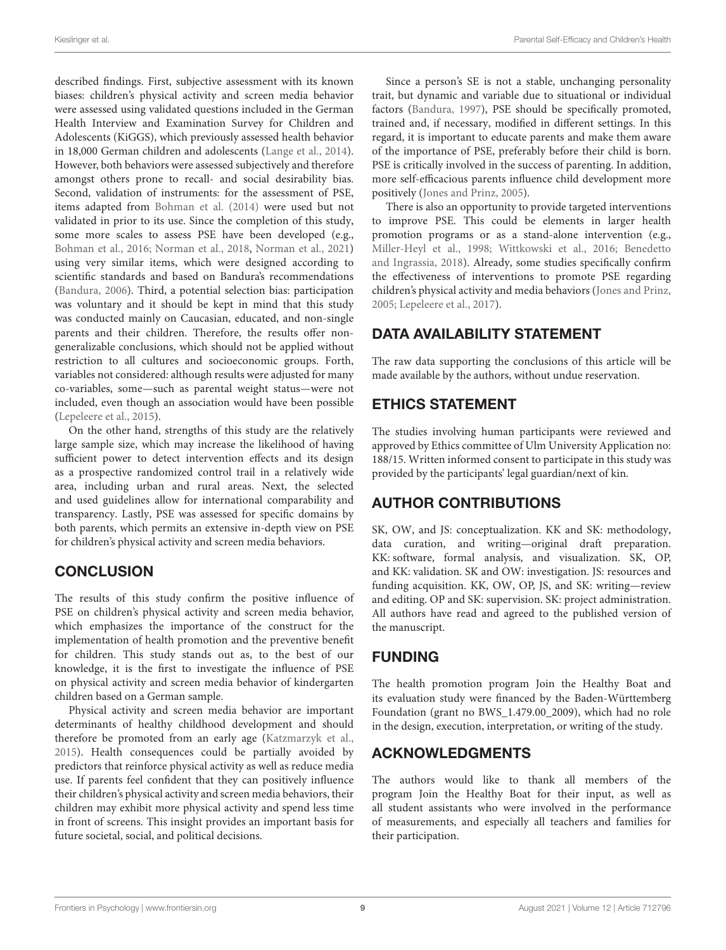described findings. First, subjective assessment with its known biases: children's physical activity and screen media behavior were assessed using validated questions included in the German Health Interview and Examination Survey for Children and Adolescents (KiGGS), which previously assessed health behavior in 18,000 German children and adolescents [\(Lange et al., 2014\)](#page-10-24). However, both behaviors were assessed subjectively and therefore amongst others prone to recall- and social desirability bias. Second, validation of instruments: for the assessment of PSE, items adapted from [Bohman et al. \(2014\)](#page-9-27) were used but not validated in prior to its use. Since the completion of this study, some more scales to assess PSE have been developed (e.g., [Bohman et al., 2016;](#page-9-37) [Norman et al., 2018,](#page-10-33) [Norman et al., 2021\)](#page-10-34) using very similar items, which were designed according to scientific standards and based on Bandura's recommendations [\(Bandura, 2006\)](#page-9-31). Third, a potential selection bias: participation was voluntary and it should be kept in mind that this study was conducted mainly on Caucasian, educated, and non-single parents and their children. Therefore, the results offer nongeneralizable conclusions, which should not be applied without restriction to all cultures and socioeconomic groups. Forth, variables not considered: although results were adjusted for many co-variables, some—such as parental weight status—were not included, even though an association would have been possible [\(Lepeleere et al., 2015\)](#page-10-17).

On the other hand, strengths of this study are the relatively large sample size, which may increase the likelihood of having sufficient power to detect intervention effects and its design as a prospective randomized control trail in a relatively wide area, including urban and rural areas. Next, the selected and used guidelines allow for international comparability and transparency. Lastly, PSE was assessed for specific domains by both parents, which permits an extensive in-depth view on PSE for children's physical activity and screen media behaviors.

# **CONCLUSION**

The results of this study confirm the positive influence of PSE on children's physical activity and screen media behavior, which emphasizes the importance of the construct for the implementation of health promotion and the preventive benefit for children. This study stands out as, to the best of our knowledge, it is the first to investigate the influence of PSE on physical activity and screen media behavior of kindergarten children based on a German sample.

Physical activity and screen media behavior are important determinants of healthy childhood development and should therefore be promoted from an early age [\(Katzmarzyk et al.,](#page-9-4) [2015\)](#page-9-4). Health consequences could be partially avoided by predictors that reinforce physical activity as well as reduce media use. If parents feel confident that they can positively influence their children's physical activity and screen media behaviors, their children may exhibit more physical activity and spend less time in front of screens. This insight provides an important basis for future societal, social, and political decisions.

Since a person's SE is not a stable, unchanging personality trait, but dynamic and variable due to situational or individual factors [\(Bandura, 1997\)](#page-9-15), PSE should be specifically promoted, trained and, if necessary, modified in different settings. In this regard, it is important to educate parents and make them aware of the importance of PSE, preferably before their child is born. PSE is critically involved in the success of parenting. In addition, more self-efficacious parents influence child development more positively [\(Jones and Prinz, 2005\)](#page-9-19).

There is also an opportunity to provide targeted interventions to improve PSE. This could be elements in larger health promotion programs or as a stand-alone intervention (e.g., [Miller-Heyl et al., 1998;](#page-10-35) [Wittkowski et al., 2016;](#page-11-4) Benedetto and Ingrassia, [2018\)](#page-9-21). Already, some studies specifically confirm the effectiveness of interventions to promote PSE regarding children's physical activity and media behaviors [\(Jones and Prinz,](#page-9-19) [2005;](#page-9-19) [Lepeleere et al., 2017\)](#page-10-36).

# DATA AVAILABILITY STATEMENT

The raw data supporting the conclusions of this article will be made available by the authors, without undue reservation.

# ETHICS STATEMENT

The studies involving human participants were reviewed and approved by Ethics committee of Ulm University Application no: 188/15. Written informed consent to participate in this study was provided by the participants' legal guardian/next of kin.

# AUTHOR CONTRIBUTIONS

SK, OW, and JS: conceptualization. KK and SK: methodology, data curation, and writing—original draft preparation. KK: software, formal analysis, and visualization. SK, OP, and KK: validation. SK and OW: investigation. JS: resources and funding acquisition. KK, OW, OP, JS, and SK: writing—review and editing. OP and SK: supervision. SK: project administration. All authors have read and agreed to the published version of the manuscript.

# FUNDING

The health promotion program Join the Healthy Boat and its evaluation study were financed by the Baden-Württemberg Foundation (grant no BWS\_1.479.00\_2009), which had no role in the design, execution, interpretation, or writing of the study.

# ACKNOWLEDGMENTS

The authors would like to thank all members of the program Join the Healthy Boat for their input, as well as all student assistants who were involved in the performance of measurements, and especially all teachers and families for their participation.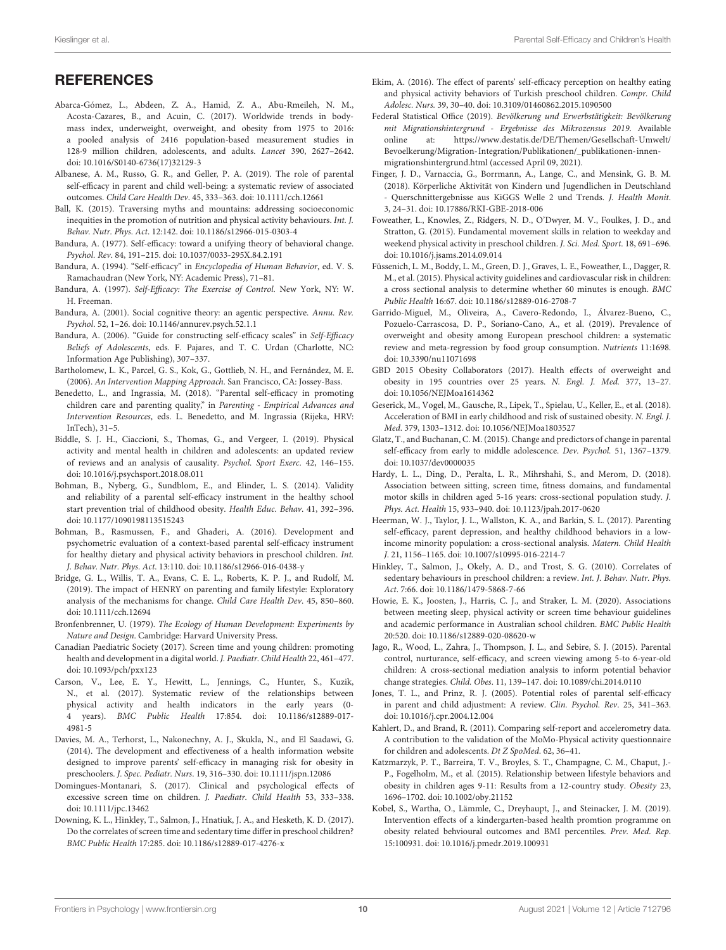### **REFERENCES**

- <span id="page-9-0"></span>Abarca-Gómez, L., Abdeen, Z. A., Hamid, Z. A., Abu-Rmeileh, N. M., Acosta-Cazares, B., and Acuin, C. (2017). Worldwide trends in bodymass index, underweight, overweight, and obesity from 1975 to 2016: a pooled analysis of 2416 population-based measurement studies in 128·9 million children, adolescents, and adults. Lancet 390, 2627–2642. doi: [10.1016/S0140-6736\(17\)32129-3](https://doi.org/10.1016/S0140-6736(17)32129-3)
- <span id="page-9-22"></span>Albanese, A. M., Russo, G. R., and Geller, P. A. (2019). The role of parental self-efficacy in parent and child well-being: a systematic review of associated outcomes. Child Care Health Dev. 45, 333–363. doi: [10.1111/cch.12661](https://doi.org/10.1111/cch.12661)
- <span id="page-9-14"></span>Ball, K. (2015). Traversing myths and mountains: addressing socioeconomic inequities in the promotion of nutrition and physical activity behaviours. Int. J. Behav. Nutr. Phys. Act. 12:142. doi: [10.1186/s12966-015-0303-4](https://doi.org/10.1186/s12966-015-0303-4)
- <span id="page-9-18"></span>Bandura, A. (1977). Self-efficacy: toward a unifying theory of behavioral change. Psychol. Rev. 84, 191–215. doi: [10.1037/0033-295X.84.2.191](https://doi.org/10.1037/0033-295X.84.2.191)
- <span id="page-9-17"></span>Bandura, A. (1994). "Self-efficacy" in Encyclopedia of Human Behavior, ed. V. S. Ramachaudran (New York, NY: Academic Press), 71–81.
- <span id="page-9-15"></span>Bandura, A. (1997). Self-Efficacy: The Exercise of Control. New York, NY: W. H. Freeman.
- <span id="page-9-16"></span>Bandura, A. (2001). Social cognitive theory: an agentic perspective. Annu. Rev. Psychol. 52, 1–26. doi: [10.1146/annurev.psych.52.1.1](https://doi.org/10.1146/annurev.psych.52.1.1)
- <span id="page-9-31"></span>Bandura, A. (2006). "Guide for constructing self-efficacy scales" in Self-Efficacy Beliefs of Adolescents, eds. F. Pajares, and T. C. Urdan (Charlotte, NC: Information Age Publishing), 307–337.
- <span id="page-9-24"></span>Bartholomew, L. K., Parcel, G. S., Kok, G., Gottlieb, N. H., and Fernández, M. E. (2006). An Intervention Mapping Approach. San Francisco, CA: Jossey-Bass.
- <span id="page-9-21"></span>Benedetto, L., and Ingrassia, M. (2018). "Parental self-efficacy in promoting children care and parenting quality," in Parenting - Empirical Advances and Intervention Resources, eds. L. Benedetto, and M. Ingrassia (Rijeka, HRV: InTech), 31–5.
- <span id="page-9-7"></span>Biddle, S. J. H., Ciaccioni, S., Thomas, G., and Vergeer, I. (2019). Physical activity and mental health in children and adolescents: an updated review of reviews and an analysis of causality. Psychol. Sport Exerc. 42, 146–155. doi: [10.1016/j.psychsport.2018.08.011](https://doi.org/10.1016/j.psychsport.2018.08.011)
- <span id="page-9-27"></span>Bohman, B., Nyberg, G., Sundblom, E., and Elinder, L. S. (2014). Validity and reliability of a parental self-efficacy instrument in the healthy school start prevention trial of childhood obesity. Health Educ. Behav. 41, 392–396. doi: [10.1177/1090198113515243](https://doi.org/10.1177/1090198113515243)
- <span id="page-9-37"></span>Bohman, B., Rasmussen, F., and Ghaderi, A. (2016). Development and psychometric evaluation of a context-based parental self-efficacy instrument for healthy dietary and physical activity behaviors in preschool children. Int. J. Behav. Nutr. Phys. Act. 13:110. doi: [10.1186/s12966-016-0438-y](https://doi.org/10.1186/s12966-016-0438-y)
- <span id="page-9-36"></span>Bridge, G. L., Willis, T. A., Evans, C. E. L., Roberts, K. P. J., and Rudolf, M. (2019). The impact of HENRY on parenting and family lifestyle: Exploratory analysis of the mechanisms for change. Child Care Health Dev. 45, 850–860. doi: [10.1111/cch.12694](https://doi.org/10.1111/cch.12694)
- <span id="page-9-25"></span>Bronfenbrenner, U. (1979). The Ecology of Human Development: Experiments by Nature and Design. Cambridge: Harvard University Press.
- <span id="page-9-9"></span>Canadian Paediatric Society (2017). Screen time and young children: promoting health and development in a digital world. J. Paediatr. Child Health 22, 461–477. doi: [10.1093/pch/pxx123](https://doi.org/10.1093/pch/pxx123)
- <span id="page-9-13"></span>Carson, V., Lee, E. Y., Hewitt, L., Jennings, C., Hunter, S., Kuzik, N., et al. (2017). Systematic review of the relationships between physical activity and health indicators in the early years (0- 4 years). BMC Public Health [17:854. doi: 10.1186/s12889-017-](https://doi.org/10.1186/s12889-017-4981-5) 4981-5
- <span id="page-9-35"></span>Davies, M. A., Terhorst, L., Nakonechny, A. J., Skukla, N., and El Saadawi, G. (2014). The development and effectiveness of a health information website designed to improve parents' self-efficacy in managing risk for obesity in preschoolers. J. Spec. Pediatr. Nurs. 19, 316–330. doi: [10.1111/jspn.12086](https://doi.org/10.1111/jspn.12086)
- <span id="page-9-5"></span>Domingues-Montanari, S. (2017). Clinical and psychological effects of excessive screen time on children. J. Paediatr. Child Health 53, 333–338. doi: [10.1111/jpc.13462](https://doi.org/10.1111/jpc.13462)
- <span id="page-9-33"></span>Downing, K. L., Hinkley, T., Salmon, J., Hnatiuk, J. A., and Hesketh, K. D. (2017). Do the correlates of screen time and sedentary time differ in preschool children? BMC Public Health 17:285. doi: [10.1186/s12889-017-4276-x](https://doi.org/10.1186/s12889-017-4276-x)
- <span id="page-9-23"></span>Ekim, A. (2016). The effect of parents' self-efficacy perception on healthy eating and physical activity behaviors of Turkish preschool children. Compr. Child Adolesc. Nurs. 39, 30–40. doi: [10.3109/01460862.2015.1090500](https://doi.org/10.3109/01460862.2015.1090500)
- <span id="page-9-28"></span>Federal Statistical Office (2019). Bevölkerung und Erwerbstätigkeit: Bevölkerung mit Migrationshintergrund - Ergebnisse des Mikrozensus 2019. Available online at: [https://www.destatis.de/DE/Themen/Gesellschaft-Umwelt/](https://www.destatis.de/DE/Themen/Gesellschaft-Umwelt/Bevoelkerung/Migration-Integration/Publikationen/_publikationen-innen-migrationshintergrund.html) [Bevoelkerung/Migration-Integration/Publikationen/\\_publikationen-innen](https://www.destatis.de/DE/Themen/Gesellschaft-Umwelt/Bevoelkerung/Migration-Integration/Publikationen/_publikationen-innen-migrationshintergrund.html)[migrationshintergrund.html](https://www.destatis.de/DE/Themen/Gesellschaft-Umwelt/Bevoelkerung/Migration-Integration/Publikationen/_publikationen-innen-migrationshintergrund.html) (accessed April 09, 2021).
- <span id="page-9-6"></span>Finger, J. D., Varnaccia, G., Borrmann, A., Lange, C., and Mensink, G. B. M. (2018). Körperliche Aktivität von Kindern und Jugendlichen in Deutschland - Querschnittergebnisse aus KiGGS Welle 2 und Trends. J. Health Monit. 3, 24–31. doi: [10.17886/RKI-GBE-2018-006](https://doi.org/10.17886/RKI-GBE-2018-006)
- <span id="page-9-30"></span>Foweather, L., Knowles, Z., Ridgers, N. D., O'Dwyer, M. V., Foulkes, J. D., and Stratton, G. (2015). Fundamental movement skills in relation to weekday and weekend physical activity in preschool children. J. Sci. Med. Sport. 18, 691–696. doi: [10.1016/j.jsams.2014.09.014](https://doi.org/10.1016/j.jsams.2014.09.014)
- <span id="page-9-12"></span>Füssenich, L. M., Boddy, L. M., Green, D. J., Graves, L. E., Foweather, L., Dagger, R. M., et al. (2015). Physical activity guidelines and cardiovascular risk in children: a cross sectional analysis to determine whether 60 minutes is enough. BMC Public Health 16:67. doi: [10.1186/s12889-016-2708-7](https://doi.org/10.1186/s12889-016-2708-7)
- <span id="page-9-2"></span>Garrido-Miguel, M., Oliveira, A., Cavero-Redondo, I., Álvarez-Bueno, C., Pozuelo-Carrascosa, D. P., Soriano-Cano, A., et al. (2019). Prevalence of overweight and obesity among European preschool children: a systematic review and meta-regression by food group consumption. Nutrients 11:1698. doi: [10.3390/nu11071698](https://doi.org/10.3390/nu11071698)
- <span id="page-9-1"></span>GBD 2015 Obesity Collaborators (2017). Health effects of overweight and obesity in 195 countries over 25 years. N. Engl. J. Med. 377, 13–27. doi: [10.1056/NEJMoa1614362](https://doi.org/10.1056/NEJMoa1614362)
- <span id="page-9-3"></span>Geserick, M., Vogel, M., Gausche, R., Lipek, T., Spielau, U., Keller, E., et al. (2018). Acceleration of BMI in early childhood and risk of sustained obesity. N. Engl. J. Med. 379, 1303–1312. doi: [10.1056/NEJMoa1803527](https://doi.org/10.1056/NEJMoa1803527)
- <span id="page-9-20"></span>Glatz, T., and Buchanan, C. M. (2015). Change and predictors of change in parental self-efficacy from early to middle adolescence. Dev. Psychol. 51, 1367–1379. doi: [10.1037/dev0000035](https://doi.org/10.1037/dev0000035)
- <span id="page-9-10"></span>Hardy, L. L., Ding, D., Peralta, L. R., Mihrshahi, S., and Merom, D. (2018). Association between sitting, screen time, fitness domains, and fundamental motor skills in children aged 5-16 years: cross-sectional population study. J. Phys. Act. Health 15, 933–940. doi: [10.1123/jpah.2017-0620](https://doi.org/10.1123/jpah.2017-0620)
- <span id="page-9-29"></span>Heerman, W. J., Taylor, J. L., Wallston, K. A., and Barkin, S. L. (2017). Parenting self-efficacy, parent depression, and healthy childhood behaviors in a lowincome minority population: a cross-sectional analysis. Matern. Child Health J. 21, 1156–1165. doi: [10.1007/s10995-016-2214-7](https://doi.org/10.1007/s10995-016-2214-7)
- <span id="page-9-8"></span>Hinkley, T., Salmon, J., Okely, A. D., and Trost, S. G. (2010). Correlates of sedentary behaviours in preschool children: a review. Int. J. Behav. Nutr. Phys. Act. 7:66. doi: [10.1186/1479-5868-7-66](https://doi.org/10.1186/1479-5868-7-66)
- <span id="page-9-11"></span>Howie, E. K., Joosten, J., Harris, C. J., and Straker, L. M. (2020). Associations between meeting sleep, physical activity or screen time behaviour guidelines and academic performance in Australian school children. BMC Public Health 20:520. doi: [10.1186/s12889-020-08620-w](https://doi.org/10.1186/s12889-020-08620-w)
- <span id="page-9-32"></span>Jago, R., Wood, L., Zahra, J., Thompson, J. L., and Sebire, S. J. (2015). Parental control, nurturance, self-efficacy, and screen viewing among 5-to 6-year-old children: A cross-sectional mediation analysis to inform potential behavior change strategies. Child. Obes. 11, 139–147. doi: [10.1089/chi.2014.0110](https://doi.org/10.1089/chi.2014.0110)
- <span id="page-9-19"></span>Jones, T. L., and Prinz, R. J. (2005). Potential roles of parental self-efficacy in parent and child adjustment: A review. Clin. Psychol. Rev. 25, 341–363. doi: [10.1016/j.cpr.2004.12.004](https://doi.org/10.1016/j.cpr.2004.12.004)
- <span id="page-9-26"></span>Kahlert, D., and Brand, R. (2011). Comparing self-report and accelerometry data. A contribution to the validation of the MoMo-Physical activity questionnaire for children and adolescents. Dt Z SpoMed. 62, 36–41.
- <span id="page-9-4"></span>Katzmarzyk, P. T., Barreira, T. V., Broyles, S. T., Champagne, C. M., Chaput, J.- P., Fogelholm, M., et al. (2015). Relationship between lifestyle behaviors and obesity in children ages 9-11: Results from a 12-country study. Obesity 23, 1696–1702. doi: [10.1002/oby.21152](https://doi.org/10.1002/oby.21152)
- <span id="page-9-34"></span>Kobel, S., Wartha, O., Lämmle, C., Dreyhaupt, J., and Steinacker, J. M. (2019). Intervention effects of a kindergarten-based health promtion programme on obesity related behvioural outcomes and BMI percentiles. Prev. Med. Rep. 15:100931. doi: [10.1016/j.pmedr.2019.100931](https://doi.org/10.1016/j.pmedr.2019.100931)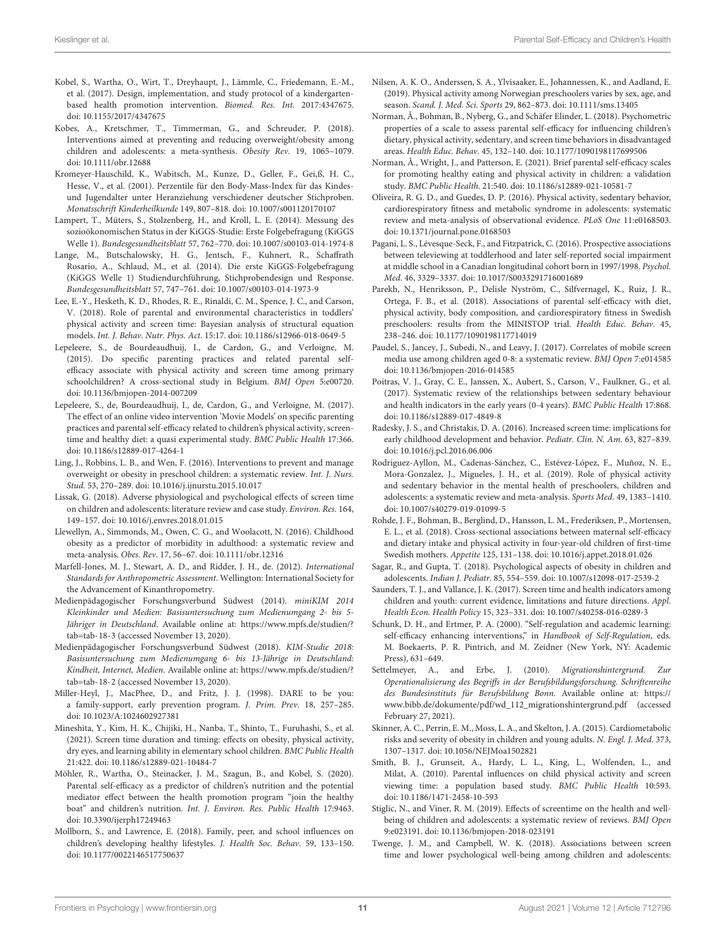- <span id="page-10-23"></span>Kobel, S., Wartha, O., Wirt, T., Dreyhaupt, J., Lämmle, C., Friedemann, E.-M., et al. (2017). Design, implementation, and study protocol of a kindergartenbased health promotion intervention. Biomed. Res. Int. 2017:4347675. doi: [10.1155/2017/4347675](https://doi.org/10.1155/2017/4347675)
- <span id="page-10-4"></span>Kobes, A., Kretschmer, T., Timmerman, G., and Schreuder, P. (2018). Interventions aimed at preventing and reducing overweight/obesity among children and adolescents: a meta-synthesis. Obesity Rev. 19, 1065–1079. doi: [10.1111/obr.12688](https://doi.org/10.1111/obr.12688)
- <span id="page-10-28"></span>Kromeyer-Hauschild, K., Wabitsch, M., Kunze, D., Geller, F., Gei,ß, H. C., Hesse, V., et al. (2001). Perzentile für den Body-Mass-Index für das Kindesund Jugendalter unter Heranziehung verschiedener deutscher Stichproben. Monatsschrift Kinderheilkunde 149, 807–818. doi: [10.1007/s001120170107](https://doi.org/10.1007/s001120170107)
- <span id="page-10-25"></span>Lampert, T., Müters, S., Stolzenberg, H., and Kroll, L. E. (2014). Messung des sozioökonomischen Status in der KiGGS-Studie: Erste Folgebefragung (KiGGS Welle 1). Bundesgesundheitsblatt 57, 762–770. doi: [10.1007/s00103-014-1974-8](https://doi.org/10.1007/s00103-014-1974-8)
- <span id="page-10-24"></span>Lange, M., Butschalowsky, H. G., Jentsch, F., Kuhnert, R., Schaffrath Rosario, A., Schlaud, M., et al. (2014). Die erste KiGGS-Folgebefragung (KiGGS Welle 1) Studiendurchführung, Stichprobendesign und Response. Bundesgesundheitsblatt 57, 747–761. doi: [10.1007/s00103-014-1973-9](https://doi.org/10.1007/s00103-014-1973-9)
- <span id="page-10-18"></span>Lee, E.-Y., Hesketh, K. D., Rhodes, R. E., Rinaldi, C. M., Spence, J. C., and Carson, V. (2018). Role of parental and environmental characteristics in toddlers' physical activity and screen time: Bayesian analysis of structural equation models. Int. J. Behav. Nutr. Phys. Act. 15:17. doi: [10.1186/s12966-018-0649-5](https://doi.org/10.1186/s12966-018-0649-5)
- <span id="page-10-17"></span>Lepeleere, S., de Bourdeaudhuij, I., de Cardon, G., and Verloigne, M. (2015). Do specific parenting practices and related parental selfefficacy associate with physical activity and screen time among primary schoolchildren? A cross-sectional study in Belgium. BMJ Open 5:e00720. doi: [10.1136/bmjopen-2014-007209](https://doi.org/10.1136/bmjopen-2014-007209)
- <span id="page-10-36"></span>Lepeleere, S., de, Bourdeaudhuij, I., de, Cardon, G., and Verloigne, M. (2017). The effect of an online video intervention 'Movie Models' on specific parenting practices and parental self-efficacy related to children's physical activity, screentime and healthy diet: a quasi experimental study. BMC Public Health 17:366. doi: [10.1186/s12889-017-4264-1](https://doi.org/10.1186/s12889-017-4264-1)
- <span id="page-10-3"></span>Ling, J., Robbins, L. B., and Wen, F. (2016). Interventions to prevent and manage overweight or obesity in preschool children: a systematic review. Int. J. Nurs. Stud. 53, 270–289. doi: [10.1016/j.ijnurstu.2015.10.017](https://doi.org/10.1016/j.ijnurstu.2015.10.017)
- <span id="page-10-12"></span>Lissak, G. (2018). Adverse physiological and psychological effects of screen time on children and adolescents: literature review and case study. Environ. Res. 164, 149–157. doi: [10.1016/j.envres.2018.01.015](https://doi.org/10.1016/j.envres.2018.01.015)
- <span id="page-10-2"></span>Llewellyn, A., Simmonds, M., Owen, C. G., and Woolacott, N. (2016). Childhood obesity as a predictor of morbidity in adulthood: a systematic review and meta-analysis. Obes. Rev. 17, 56–67. doi: [10.1111/obr.12316](https://doi.org/10.1111/obr.12316)
- <span id="page-10-27"></span>Marfell-Jones, M. J., Stewart, A. D., and Ridder, J. H., de. (2012). International Standards for Anthropometric Assessment. Wellington: International Society for the Advancement of Kinanthropometry.
- <span id="page-10-5"></span>Medienpädagogischer Forschungsverbund Südwest (2014). miniKIM 2014 Kleinkinder und Medien: Basisuntersuchung zum Medienumgang 2- bis 5- Jähriger in Deutschland. Available online at: [https://www.mpfs.de/studien/?](https://www.mpfs.de/studien/?tab=tab-18-3) [tab=tab-18-3](https://www.mpfs.de/studien/?tab=tab-18-3) (accessed November 13, 2020).
- <span id="page-10-6"></span>Medienpädagogischer Forschungsverbund Südwest (2018). KIM-Studie 2018: Basisuntersuchung zum Medienumgang 6- bis 13-Jährige in Deutschland: Kindheit, Internet, Medien. Available online at: [https://www.mpfs.de/studien/?](https://www.mpfs.de/studien/?tab=tab-18-2) [tab=tab-18-2](https://www.mpfs.de/studien/?tab=tab-18-2) (accessed November 13, 2020).
- <span id="page-10-35"></span>Miller-Heyl, J., MacPhee, D., and Fritz, J. J. (1998). DARE to be you: a family-support, early prevention program. J. Prim. Prev. 18, 257–285. doi: [10.1023/A:1024602927381](https://doi.org/10.1023/A:1024602927381)
- <span id="page-10-11"></span>Mineshita, Y., Kim, H. K., Chijiki, H., Nanba, T., Shinto, T., Furuhashi, S., et al. (2021). Screen time duration and timing: effects on obesity, physical activity, dry eyes, and learning ability in elementary school children. BMC Public Health 21:422. doi: [10.1186/s12889-021-10484-7](https://doi.org/10.1186/s12889-021-10484-7)
- <span id="page-10-20"></span>Möhler, R., Wartha, O., Steinacker, J. M., Szagun, B., and Kobel, S. (2020). Parental self-efficacy as a predictor of children's nutrition and the potential mediator effect between the health promotion program "join the healthy boat" and children's nutrition. Int. J. Environ. Res. Public Health 17:9463. doi: [10.3390/ijerph17249463](https://doi.org/10.3390/ijerph17249463)
- <span id="page-10-32"></span>Mollborn, S., and Lawrence, E. (2018). Family, peer, and school influences on children's developing healthy lifestyles. J. Health Soc. Behav. 59, 133–150. doi: [10.1177/0022146517750637](https://doi.org/10.1177/0022146517750637)
- <span id="page-10-30"></span>Nilsen, A. K. O., Anderssen, S. A., Ylvisaaker, E., Johannessen, K., and Aadland, E. (2019). Physical activity among Norwegian preschoolers varies by sex, age, and season. Scand. J. Med. Sci. Sports 29, 862–873. doi: [10.1111/sms.13405](https://doi.org/10.1111/sms.13405)
- <span id="page-10-33"></span>Norman, Å., Bohman, B., Nyberg, G., and Schäfer Elinder, L. (2018). Psychometric properties of a scale to assess parental self-efficacy for influencing children's dietary, physical activity, sedentary, and screen time behaviors in disadvantaged areas. Health Educ. Behav. 45, 132–140. doi: [10.1177/1090198117699506](https://doi.org/10.1177/1090198117699506)
- <span id="page-10-34"></span>Norman, Å., Wright, J., and Patterson, E. (2021). Brief parental self-efficacy scales for promoting healthy eating and physical activity in children: a validation study. BMC Public Health. 21:540. doi: [10.1186/s12889-021-10581-7](https://doi.org/10.1186/s12889-021-10581-7)
- <span id="page-10-15"></span>Oliveira, R. G. D., and Guedes, D. P. (2016). Physical activity, sedentary behavior, cardiorespiratory fitness and metabolic syndrome in adolescents: systematic review and meta-analysis of observational evidence. PLoS One 11:e0168503. doi: [10.1371/journal.pone.0168503](https://doi.org/10.1371/journal.pone.0168503)
- <span id="page-10-13"></span>Pagani, L. S., Lévesque-Seck, F., and Fitzpatrick, C. (2016). Prospective associations between televiewing at toddlerhood and later self-reported social impairment at middle school in a Canadian longitudinal cohort born in 1997/1998. Psychol. Med. 46, 3329–3337. doi: [10.1017/S0033291716001689](https://doi.org/10.1017/S0033291716001689)
- <span id="page-10-29"></span>Parekh, N., Henriksson, P., Delisle Nyström, C., Silfvernagel, K., Ruiz, J. R., Ortega, F. B., et al. (2018). Associations of parental self-efficacy with diet, physical activity, body composition, and cardiorespiratory fitness in Swedish preschoolers: results from the MINISTOP trial. Health Educ. Behav. 45, 238–246. doi: [10.1177/1090198117714019](https://doi.org/10.1177/1090198117714019)
- <span id="page-10-31"></span>Paudel, S., Jancey, J., Subedi, N., and Leavy, J. (2017). Correlates of mobile screen media use among children aged 0-8: a systematic review. BMJ Open 7:e014585 doi: [10.1136/bmjopen-2016-014585](https://doi.org/10.1136/bmjopen-2016-014585)
- <span id="page-10-8"></span>Poitras, V. J., Gray, C. E., Janssen, X., Aubert, S., Carson, V., Faulkner, G., et al. (2017). Systematic review of the relationships between sedentary behaviour and health indicators in the early years (0-4 years). BMC Public Health 17:868. doi: [10.1186/s12889-017-4849-8](https://doi.org/10.1186/s12889-017-4849-8)
- <span id="page-10-9"></span>Radesky, J. S., and Christakis, D. A. (2016). Increased screen time: implications for early childhood development and behavior. Pediatr. Clin. N. Am. 63, 827–839. doi: [10.1016/j.pcl.2016.06.006](https://doi.org/10.1016/j.pcl.2016.06.006)
- <span id="page-10-16"></span>Rodriguez-Ayllon, M., Cadenas-Sánchez, C., Estévez-López, F., Muñoz, N. E., Mora-Gonzalez, J., Migueles, J. H., et al. (2019). Role of physical activity and sedentary behavior in the mental health of preschoolers, children and adolescents: a systematic review and meta-analysis. Sports Med. 49, 1383–1410. doi: [10.1007/s40279-019-01099-5](https://doi.org/10.1007/s40279-019-01099-5)
- <span id="page-10-22"></span>Rohde, J. F., Bohman, B., Berglind, D., Hansson, L. M., Frederiksen, P., Mortensen, E. L., et al. (2018). Cross-sectional associations between maternal self-efficacy and dietary intake and physical activity in four-year-old children of first-time Swedish mothers. Appetite 125, 131–138. doi: [10.1016/j.appet.2018.01.026](https://doi.org/10.1016/j.appet.2018.01.026)
- <span id="page-10-1"></span>Sagar, R., and Gupta, T. (2018). Psychological aspects of obesity in children and adolescents. Indian J. Pediatr. 85, 554–559. doi: [10.1007/s12098-017-2539-2](https://doi.org/10.1007/s12098-017-2539-2)
- <span id="page-10-7"></span>Saunders, T. J., and Vallance, J. K. (2017). Screen time and health indicators among children and youth: current evidence, limitations and future directions. Appl. Health Econ. Health Policy 15, 323–331. doi: [10.1007/s40258-016-0289-3](https://doi.org/10.1007/s40258-016-0289-3)
- <span id="page-10-19"></span>Schunk, D. H., and Ertmer, P. A. (2000). "Self-regulation and academic learning: self-efficacy enhancing interventions," in Handbook of Self-Regulation, eds. M. Boekaerts, P. R. Pintrich, and M. Zeidner (New York, NY: Academic Press), 631–649.
- <span id="page-10-26"></span>Settelmeyer, A., and Erbe, J. (2010). Migrationshintergrund. Zur Operationalisierung des Begriffs in der Berufsbildungsforschung. Schriftenreihe des Bundesinstituts für Berufsbildung Bonn. Available online at: [https://](https://www.bibb.de/dokumente/pdf/wd_112_migrationshintergrund.pdf) [www.bibb.de/dokumente/pdf/wd\\_112\\_migrationshintergrund.pdf](https://www.bibb.de/dokumente/pdf/wd_112_migrationshintergrund.pdf) (accessed February 27, 2021).
- <span id="page-10-0"></span>Skinner, A. C., Perrin, E. M., Moss, L. A., and Skelton, J. A. (2015). Cardiometabolic risks and severity of obesity in children and young adults. N. Engl. J. Med. 373, 1307–1317. doi: [10.1056/NEJMoa1502821](https://doi.org/10.1056/NEJMoa1502821)
- <span id="page-10-21"></span>Smith, B. J., Grunseit, A., Hardy, L. L., King, L., Wolfenden, L., and Milat, A. (2010). Parental influences on child physical activity and screen viewing time: a population based study. BMC Public Health 10:593. doi: [10.1186/1471-2458-10-593](https://doi.org/10.1186/1471-2458-10-593)
- <span id="page-10-14"></span>Stiglic, N., and Viner, R. M. (2019). Effects of screentime on the health and wellbeing of children and adolescents: a systematic review of reviews. BMJ Open 9:e023191. doi: [10.1136/bmjopen-2018-023191](https://doi.org/10.1136/bmjopen-2018-023191)
- <span id="page-10-10"></span>Twenge, J. M., and Campbell, W. K. (2018). Associations between screen time and lower psychological well-being among children and adolescents: